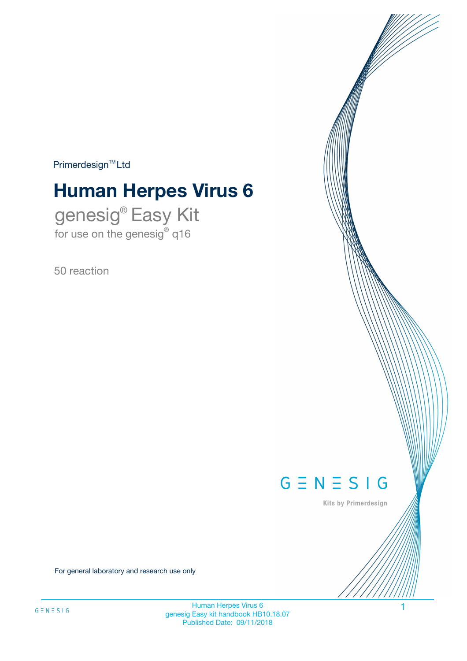$Primerdesign^{\text{TM}}Ltd$ 

# **Human Herpes Virus 6**

genesig® Easy Kit for use on the genesig® q16

50 reaction



Kits by Primerdesign

For general laboratory and research use only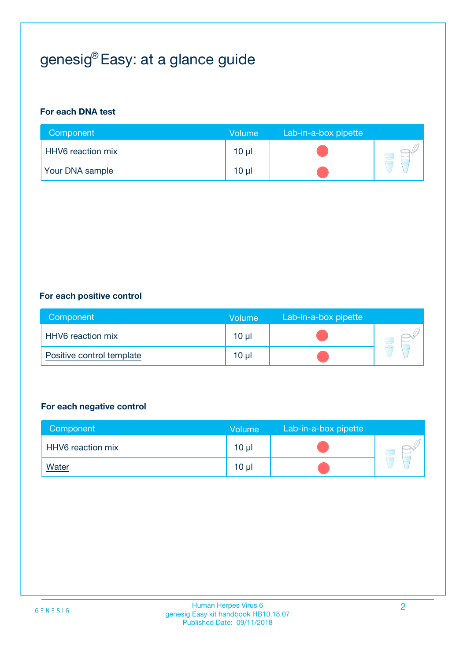# genesig® Easy: at a glance guide

#### **For each DNA test**

| Component                | <b>Volume</b>   | Lab-in-a-box pipette |  |
|--------------------------|-----------------|----------------------|--|
| <b>HHV6</b> reaction mix | 10 µl           |                      |  |
| <b>Your DNA sample</b>   | 10 <sub>µ</sub> |                      |  |

#### **For each positive control**

| Component                 | Volume          | Lab-in-a-box pipette |  |
|---------------------------|-----------------|----------------------|--|
| HHV6 reaction mix         | 10 <sub>µ</sub> |                      |  |
| Positive control template | 10 <sub>µ</sub> |                      |  |

#### **For each negative control**

| Component         | <b>Volume</b>   | Lab-in-a-box pipette |  |
|-------------------|-----------------|----------------------|--|
| HHV6 reaction mix | 10 <sub>µ</sub> |                      |  |
| <u>Water</u>      | 10 <sub>µ</sub> |                      |  |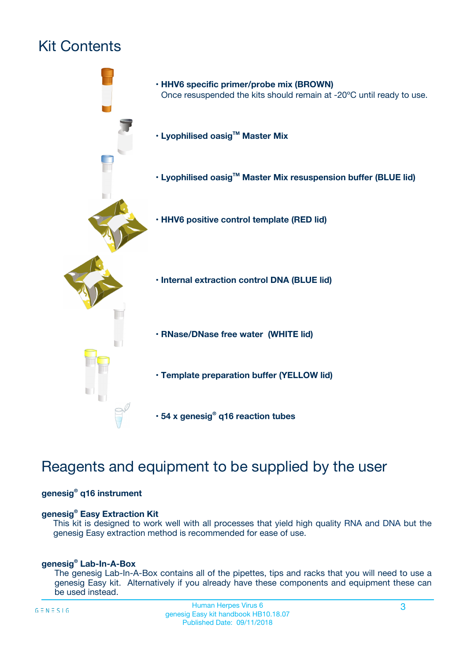# Kit Contents



# Reagents and equipment to be supplied by the user

#### **genesig® q16 instrument**

#### **genesig® Easy Extraction Kit**

This kit is designed to work well with all processes that yield high quality RNA and DNA but the genesig Easy extraction method is recommended for ease of use.

#### **genesig® Lab-In-A-Box**

The genesig Lab-In-A-Box contains all of the pipettes, tips and racks that you will need to use a genesig Easy kit. Alternatively if you already have these components and equipment these can be used instead.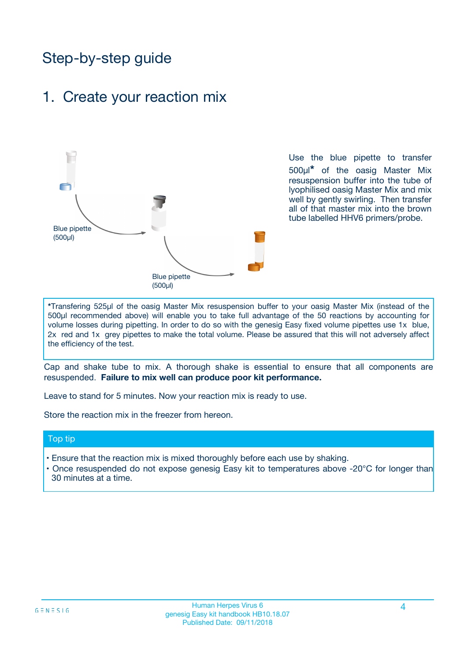# Step-by-step guide

### 1. Create your reaction mix



Use the blue pipette to transfer 500µl**\*** of the oasig Master Mix resuspension buffer into the tube of lyophilised oasig Master Mix and mix well by gently swirling. Then transfer all of that master mix into the brown tube labelled HHV6 primers/probe.

**\***Transfering 525µl of the oasig Master Mix resuspension buffer to your oasig Master Mix (instead of the 500µl recommended above) will enable you to take full advantage of the 50 reactions by accounting for volume losses during pipetting. In order to do so with the genesig Easy fixed volume pipettes use 1x blue, 2x red and 1x grey pipettes to make the total volume. Please be assured that this will not adversely affect the efficiency of the test.

Cap and shake tube to mix. A thorough shake is essential to ensure that all components are resuspended. **Failure to mix well can produce poor kit performance.**

Leave to stand for 5 minutes. Now your reaction mix is ready to use.

Store the reaction mix in the freezer from hereon.

#### Top tip

- Ensure that the reaction mix is mixed thoroughly before each use by shaking.
- **•** Once resuspended do not expose genesig Easy kit to temperatures above -20°C for longer than 30 minutes at a time.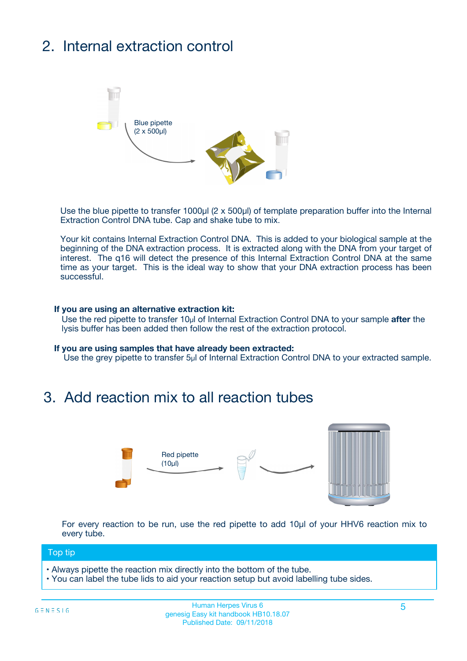# 2. Internal extraction control



Use the blue pipette to transfer 1000µl (2 x 500µl) of template preparation buffer into the Internal Extraction Control DNA tube. Cap and shake tube to mix.

Your kit contains Internal Extraction Control DNA. This is added to your biological sample at the beginning of the DNA extraction process. It is extracted along with the DNA from your target of interest. The q16 will detect the presence of this Internal Extraction Control DNA at the same time as your target. This is the ideal way to show that your DNA extraction process has been **successful.** 

#### **If you are using an alternative extraction kit:**

Use the red pipette to transfer 10µl of Internal Extraction Control DNA to your sample **after** the lysis buffer has been added then follow the rest of the extraction protocol.

#### **If you are using samples that have already been extracted:**

Use the grey pipette to transfer 5µl of Internal Extraction Control DNA to your extracted sample.

## 3. Add reaction mix to all reaction tubes



For every reaction to be run, use the red pipette to add 10µl of your HHV6 reaction mix to every tube.

#### Top tip

- Always pipette the reaction mix directly into the bottom of the tube.
- You can label the tube lids to aid your reaction setup but avoid labelling tube sides.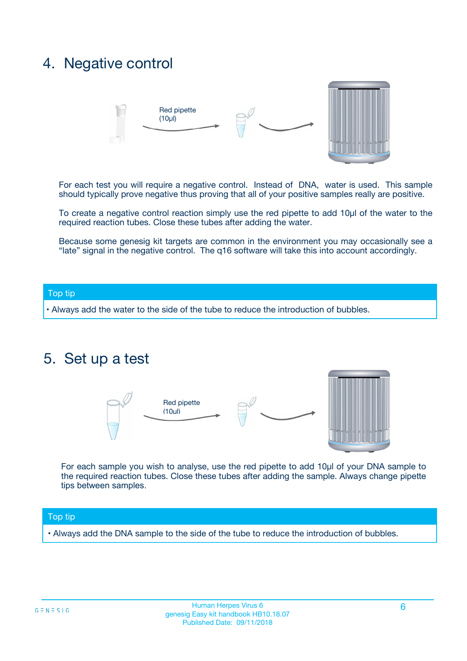## 4. Negative control



For each test you will require a negative control. Instead of DNA, water is used. This sample should typically prove negative thus proving that all of your positive samples really are positive.

To create a negative control reaction simply use the red pipette to add 10µl of the water to the required reaction tubes. Close these tubes after adding the water.

Because some genesig kit targets are common in the environment you may occasionally see a "late" signal in the negative control. The q16 software will take this into account accordingly.

#### Top tip

**•** Always add the water to the side of the tube to reduce the introduction of bubbles.

### 5. Set up a test



For each sample you wish to analyse, use the red pipette to add 10µl of your DNA sample to the required reaction tubes. Close these tubes after adding the sample. Always change pipette tips between samples.

#### Top tip

**•** Always add the DNA sample to the side of the tube to reduce the introduction of bubbles.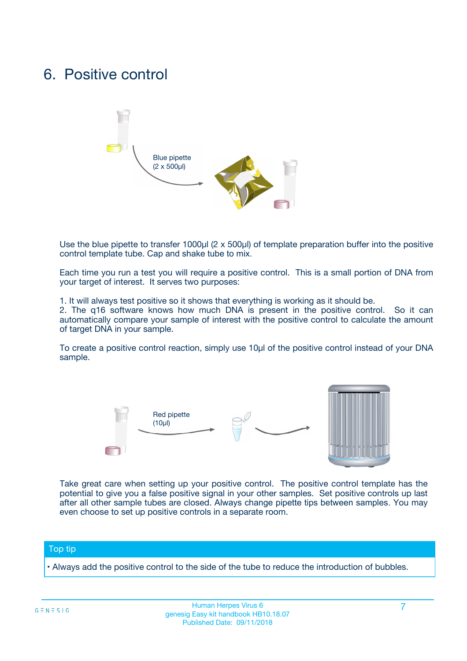## 6. Positive control



Use the blue pipette to transfer 1000µl (2 x 500µl) of template preparation buffer into the positive control template tube. Cap and shake tube to mix.

Each time you run a test you will require a positive control. This is a small portion of DNA from your target of interest. It serves two purposes:

1. It will always test positive so it shows that everything is working as it should be.

2. The q16 software knows how much DNA is present in the positive control. So it can automatically compare your sample of interest with the positive control to calculate the amount of target DNA in your sample.

To create a positive control reaction, simply use 10µl of the positive control instead of your DNA sample.



Take great care when setting up your positive control. The positive control template has the potential to give you a false positive signal in your other samples. Set positive controls up last after all other sample tubes are closed. Always change pipette tips between samples. You may even choose to set up positive controls in a separate room.

#### Top tip

**•** Always add the positive control to the side of the tube to reduce the introduction of bubbles.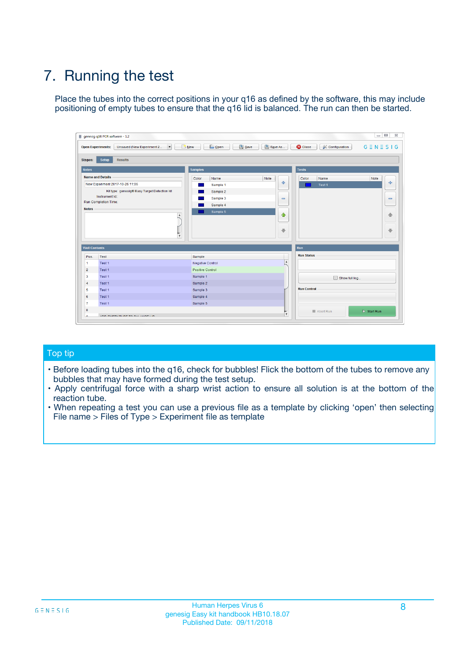# 7. Running the test

Place the tubes into the correct positions in your q16 as defined by the software, this may include positioning of empty tubes to ensure that the q16 lid is balanced. The run can then be started.

| qenesig q16 PCR software - 1.2                                               |                                   | $\Box$                                                                                          |
|------------------------------------------------------------------------------|-----------------------------------|-------------------------------------------------------------------------------------------------|
| $\vert \cdot \vert$<br>Unsaved (New Experiment 2<br><b>Open Experiments:</b> | <b>D</b> Open<br>R <sub>New</sub> | Save<br>Save As<br><b>C</b> Close<br><b>&amp; Configuration</b><br>$G \equiv N \equiv S \mid G$ |
| <b>Setup</b><br><b>Results</b><br>Stages:                                    |                                   |                                                                                                 |
| <b>Notes</b>                                                                 | <b>Samples</b>                    | <b>Tests</b>                                                                                    |
| <b>Name and Details</b>                                                      | Name<br>Color                     | Note<br>Color<br>Note<br>Name                                                                   |
| New Experiment 2017-10-26 11:06                                              | Sample 1                          | ÷<br>علي<br>Test 1                                                                              |
| Kit type: genesig® Easy Target Detection kit                                 | Sample 2                          |                                                                                                 |
| Instrument Id.:                                                              | Sample 3                          | $\qquad \qquad \blacksquare$<br>$\qquad \qquad \blacksquare$                                    |
| <b>Run Completion Time:</b>                                                  | Sample 4                          |                                                                                                 |
| <b>Notes</b><br><b>A</b><br>$\overline{\mathbf v}$                           | Sample 5                          | ♦<br>4<br>÷<br>₩                                                                                |
| <b>Well Contents</b>                                                         |                                   | <b>Run</b>                                                                                      |
| Pos.<br>Test                                                                 | Sample                            | <b>Run Status</b>                                                                               |
| Test 1<br>$\mathbf{1}$                                                       | Negative Control                  | $\blacktriangle$                                                                                |
| $\overline{2}$<br>Test 1                                                     | <b>Positive Control</b>           |                                                                                                 |
| $\overline{\mathbf{3}}$<br>Test 1                                            | Sample 1                          | Show full log                                                                                   |
| Test 1<br>4                                                                  | Sample 2                          |                                                                                                 |
| 5<br>Test 1                                                                  | Sample 3                          | <b>Run Control</b>                                                                              |
| Test 1<br>6                                                                  | Sample 4                          |                                                                                                 |
| $\overline{7}$<br>Test 1                                                     | Sample 5                          |                                                                                                 |
| 8                                                                            |                                   | $\triangleright$ Start Run<br>Abort Run                                                         |
| <b>JOD FURTY TUDE TO BUILDED IN</b>                                          |                                   | $\overline{\mathbf{v}}$                                                                         |

#### Top tip

- Before loading tubes into the q16, check for bubbles! Flick the bottom of the tubes to remove any bubbles that may have formed during the test setup.
- Apply centrifugal force with a sharp wrist action to ensure all solution is at the bottom of the reaction tube.
- When repeating a test you can use a previous file as a template by clicking 'open' then selecting File name > Files of Type > Experiment file as template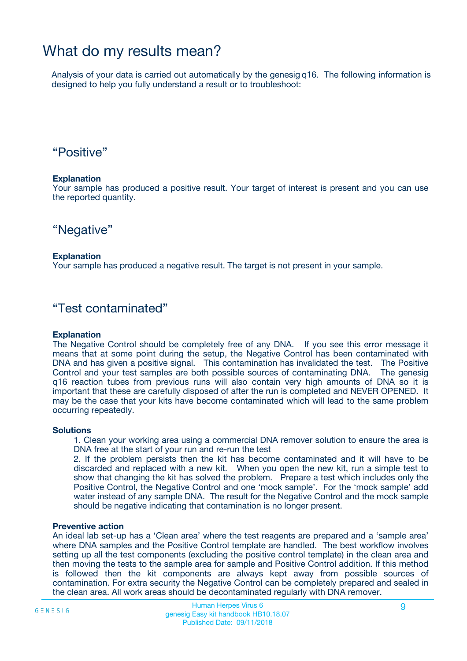## What do my results mean?

Analysis of your data is carried out automatically by the genesig q16. The following information is designed to help you fully understand a result or to troubleshoot:

### "Positive"

#### **Explanation**

Your sample has produced a positive result. Your target of interest is present and you can use the reported quantity.

"Negative"

#### **Explanation**

Your sample has produced a negative result. The target is not present in your sample.

### "Test contaminated"

#### **Explanation**

The Negative Control should be completely free of any DNA. If you see this error message it means that at some point during the setup, the Negative Control has been contaminated with DNA and has given a positive signal. This contamination has invalidated the test. The Positive Control and your test samples are both possible sources of contaminating DNA. The genesig q16 reaction tubes from previous runs will also contain very high amounts of DNA so it is important that these are carefully disposed of after the run is completed and NEVER OPENED. It may be the case that your kits have become contaminated which will lead to the same problem occurring repeatedly.

#### **Solutions**

1. Clean your working area using a commercial DNA remover solution to ensure the area is DNA free at the start of your run and re-run the test

2. If the problem persists then the kit has become contaminated and it will have to be discarded and replaced with a new kit. When you open the new kit, run a simple test to show that changing the kit has solved the problem. Prepare a test which includes only the Positive Control, the Negative Control and one 'mock sample'. For the 'mock sample' add water instead of any sample DNA. The result for the Negative Control and the mock sample should be negative indicating that contamination is no longer present.

#### **Preventive action**

An ideal lab set-up has a 'Clean area' where the test reagents are prepared and a 'sample area' where DNA samples and the Positive Control template are handled. The best workflow involves setting up all the test components (excluding the positive control template) in the clean area and then moving the tests to the sample area for sample and Positive Control addition. If this method is followed then the kit components are always kept away from possible sources of contamination. For extra security the Negative Control can be completely prepared and sealed in the clean area. All work areas should be decontaminated regularly with DNA remover.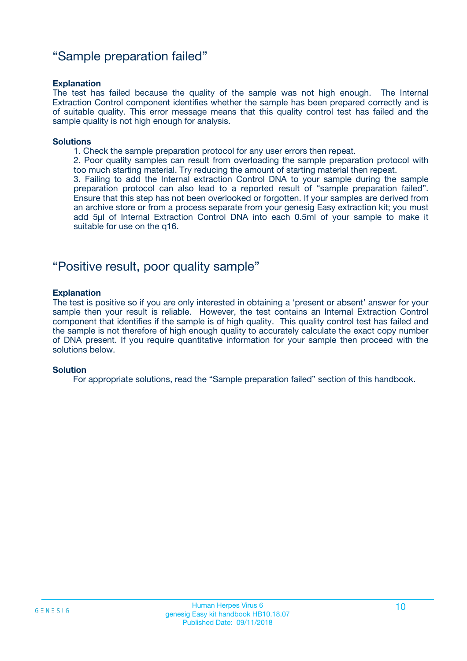### "Sample preparation failed"

#### **Explanation**

The test has failed because the quality of the sample was not high enough. The Internal Extraction Control component identifies whether the sample has been prepared correctly and is of suitable quality. This error message means that this quality control test has failed and the sample quality is not high enough for analysis.

#### **Solutions**

1. Check the sample preparation protocol for any user errors then repeat.

2. Poor quality samples can result from overloading the sample preparation protocol with too much starting material. Try reducing the amount of starting material then repeat.

3. Failing to add the Internal extraction Control DNA to your sample during the sample preparation protocol can also lead to a reported result of "sample preparation failed". Ensure that this step has not been overlooked or forgotten. If your samples are derived from an archive store or from a process separate from your genesig Easy extraction kit; you must add 5µl of Internal Extraction Control DNA into each 0.5ml of your sample to make it suitable for use on the q16.

### "Positive result, poor quality sample"

#### **Explanation**

The test is positive so if you are only interested in obtaining a 'present or absent' answer for your sample then your result is reliable. However, the test contains an Internal Extraction Control component that identifies if the sample is of high quality. This quality control test has failed and the sample is not therefore of high enough quality to accurately calculate the exact copy number of DNA present. If you require quantitative information for your sample then proceed with the solutions below.

#### **Solution**

For appropriate solutions, read the "Sample preparation failed" section of this handbook.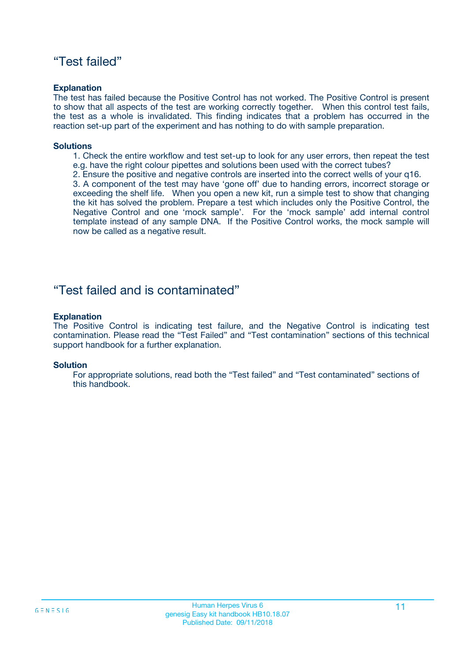### "Test failed"

#### **Explanation**

The test has failed because the Positive Control has not worked. The Positive Control is present to show that all aspects of the test are working correctly together. When this control test fails, the test as a whole is invalidated. This finding indicates that a problem has occurred in the reaction set-up part of the experiment and has nothing to do with sample preparation.

#### **Solutions**

- 1. Check the entire workflow and test set-up to look for any user errors, then repeat the test e.g. have the right colour pipettes and solutions been used with the correct tubes?
- 2. Ensure the positive and negative controls are inserted into the correct wells of your q16.

3. A component of the test may have 'gone off' due to handing errors, incorrect storage or exceeding the shelf life. When you open a new kit, run a simple test to show that changing the kit has solved the problem. Prepare a test which includes only the Positive Control, the Negative Control and one 'mock sample'. For the 'mock sample' add internal control template instead of any sample DNA. If the Positive Control works, the mock sample will now be called as a negative result.

### "Test failed and is contaminated"

#### **Explanation**

The Positive Control is indicating test failure, and the Negative Control is indicating test contamination. Please read the "Test Failed" and "Test contamination" sections of this technical support handbook for a further explanation.

#### **Solution**

For appropriate solutions, read both the "Test failed" and "Test contaminated" sections of this handbook.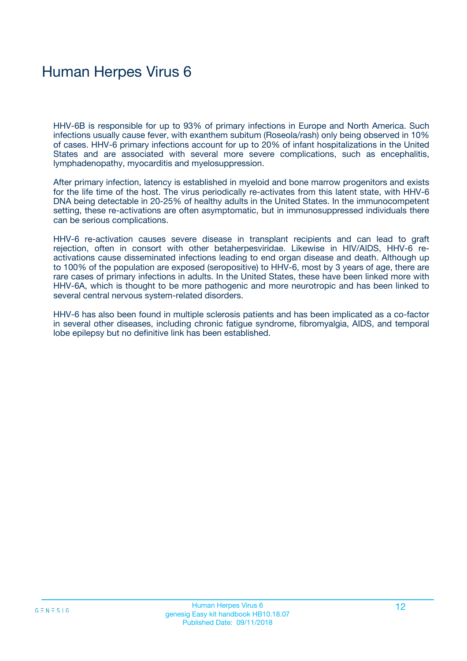# Human Herpes Virus 6

HHV-6B is responsible for up to 93% of primary infections in Europe and North America. Such infections usually cause fever, with exanthem subitum (Roseola/rash) only being observed in 10% of cases. HHV-6 primary infections account for up to 20% of infant hospitalizations in the United States and are associated with several more severe complications, such as encephalitis, lymphadenopathy, myocarditis and myelosuppression.

After primary infection, latency is established in myeloid and bone marrow progenitors and exists for the life time of the host. The virus periodically re-activates from this latent state, with HHV-6 DNA being detectable in 20-25% of healthy adults in the United States. In the immunocompetent setting, these re-activations are often asymptomatic, but in immunosuppressed individuals there can be serious complications.

HHV-6 re-activation causes severe disease in transplant recipients and can lead to graft rejection, often in consort with other betaherpesviridae. Likewise in HIV/AIDS, HHV-6 reactivations cause disseminated infections leading to end organ disease and death. Although up to 100% of the population are exposed (seropositive) to HHV-6, most by 3 years of age, there are rare cases of primary infections in adults. In the United States, these have been linked more with HHV-6A, which is thought to be more pathogenic and more neurotropic and has been linked to several central nervous system-related disorders.

HHV-6 has also been found in multiple sclerosis patients and has been implicated as a co-factor in several other diseases, including chronic fatigue syndrome, fibromyalgia, AIDS, and temporal lobe epilepsy but no definitive link has been established.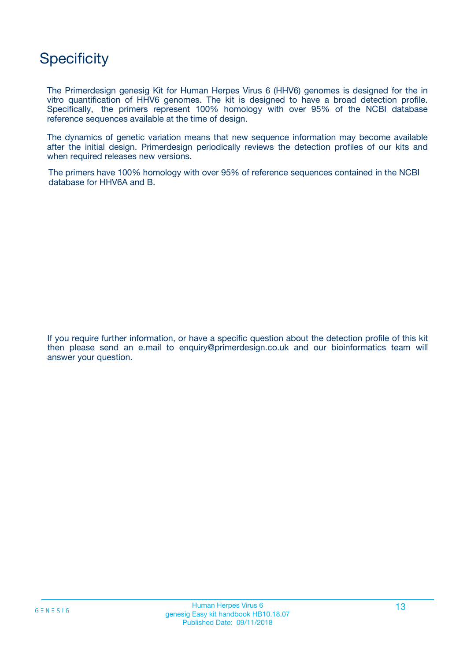# **Specificity**

The Primerdesign genesig Kit for Human Herpes Virus 6 (HHV6) genomes is designed for the in vitro quantification of HHV6 genomes. The kit is designed to have a broad detection profile. Specifically, the primers represent 100% homology with over 95% of the NCBI database reference sequences available at the time of design.

The dynamics of genetic variation means that new sequence information may become available after the initial design. Primerdesign periodically reviews the detection profiles of our kits and when required releases new versions.

The primers have 100% homology with over 95% of reference sequences contained in the NCBI database for HHV6A and B.

If you require further information, or have a specific question about the detection profile of this kit then please send an e.mail to enquiry@primerdesign.co.uk and our bioinformatics team will answer your question.